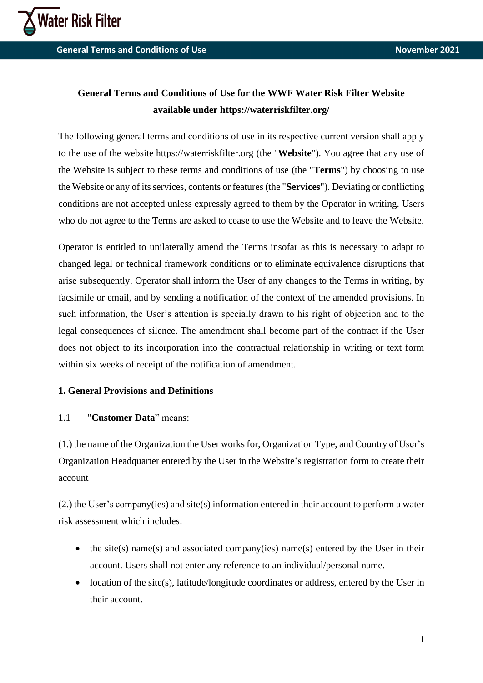

**General Terms and Conditions of Use November 2021** 

# **General Terms and Conditions of Use for the WWF Water Risk Filter Website available under https://waterriskfilter.org/**

The following general terms and conditions of use in its respective current version shall apply to the use of the website https://waterriskfilter.org (the "**Website**"). You agree that any use of the Website is subject to these terms and conditions of use (the "**Terms**") by choosing to use the Website or any of its services, contents or features (the "**Services**"). Deviating or conflicting conditions are not accepted unless expressly agreed to them by the Operator in writing. Users who do not agree to the Terms are asked to cease to use the Website and to leave the Website.

Operator is entitled to unilaterally amend the Terms insofar as this is necessary to adapt to changed legal or technical framework conditions or to eliminate equivalence disruptions that arise subsequently. Operator shall inform the User of any changes to the Terms in writing, by facsimile or email, and by sending a notification of the context of the amended provisions. In such information, the User's attention is specially drawn to his right of objection and to the legal consequences of silence. The amendment shall become part of the contract if the User does not object to its incorporation into the contractual relationship in writing or text form within six weeks of receipt of the notification of amendment.

## **1. General Provisions and Definitions**

## 1.1 "**Customer Data**" means:

(1.) the name of the Organization the User works for, Organization Type, and Country of User's Organization Headquarter entered by the User in the Website's registration form to create their account

(2.) the User's company(ies) and site(s) information entered in their account to perform a water risk assessment which includes:

- the site(s) name(s) and associated company(ies) name(s) entered by the User in their account. Users shall not enter any reference to an individual/personal name.
- location of the site(s), latitude/longitude coordinates or address, entered by the User in their account.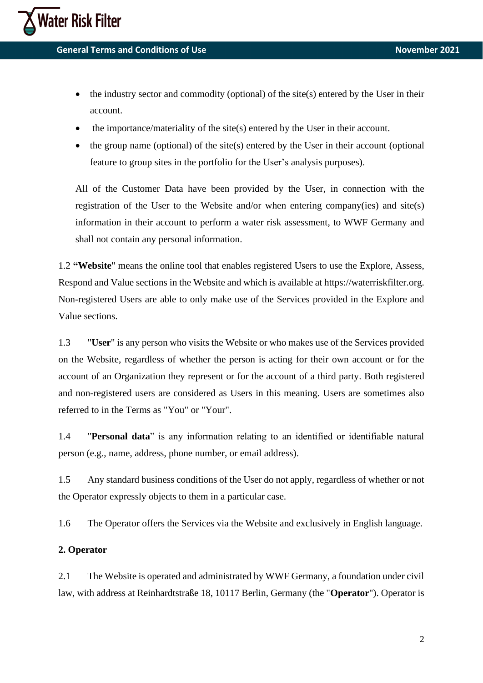

**General Terms and Conditions of Use November 2021 November 2021** 

- the industry sector and commodity (optional) of the site $(s)$  entered by the User in their account.
- the importance/materiality of the site(s) entered by the User in their account.
- the group name (optional) of the site(s) entered by the User in their account (optional feature to group sites in the portfolio for the User's analysis purposes).

All of the Customer Data have been provided by the User, in connection with the registration of the User to the Website and/or when entering company(ies) and site(s) information in their account to perform a water risk assessment, to WWF Germany and shall not contain any personal information.

1.2 **"Website**" means the online tool that enables registered Users to use the Explore, Assess, Respond and Value sections in the Website and which is available at https://waterriskfilter.org. Non-registered Users are able to only make use of the Services provided in the Explore and Value sections.

1.3 "**User**" is any person who visits the Website or who makes use of the Services provided on the Website, regardless of whether the person is acting for their own account or for the account of an Organization they represent or for the account of a third party. Both registered and non-registered users are considered as Users in this meaning. Users are sometimes also referred to in the Terms as "You" or "Your".

1.4 "**Personal data**" is any information relating to an identified or identifiable natural person (e.g., name, address, phone number, or email address).

1.5 Any standard business conditions of the User do not apply, regardless of whether or not the Operator expressly objects to them in a particular case.

1.6 The Operator offers the Services via the Website and exclusively in English language.

## **2. Operator**

2.1 The Website is operated and administrated by WWF Germany, a foundation under civil law, with address at Reinhardtstraße 18, 10117 Berlin, Germany (the "**Operator**"). Operator is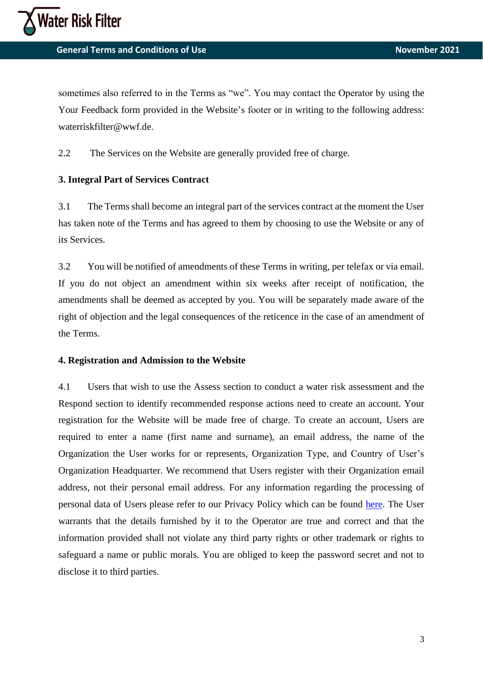

sometimes also referred to in the Terms as "we". You may contact the Operator by using the Your Feedback form provided in the Website's footer or in writing to the following address: waterriskfilter@wwf.de.

2.2 The Services on the Website are generally provided free of charge.

#### **3. Integral Part of Services Contract**

3.1 The Terms shall become an integral part of the services contract at the moment the User has taken note of the Terms and has agreed to them by choosing to use the Website or any of its Services.

3.2 You will be notified of amendments of these Terms in writing, per telefax or via email. If you do not object an amendment within six weeks after receipt of notification, the amendments shall be deemed as accepted by you. You will be separately made aware of the right of objection and the legal consequences of the reticence in the case of an amendment of the Terms.

#### **4. Registration and Admission to the Website**

4.1 Users that wish to use the Assess section to conduct a water risk assessment and the Respond section to identify recommended response actions need to create an account. Your registration for the Website will be made free of charge. To create an account, Users are required to enter a name (first name and surname), an email address, the name of the Organization the User works for or represents, Organization Type, and Country of User's Organization Headquarter. We recommend that Users register with their Organization email address, not their personal email address. For any information regarding the processing of personal data of Users please refer to our Privacy Policy which can be found [here.](https://waterriskfilter.org/assets/documents/WRF_Privacy_Policy.pdf) The User warrants that the details furnished by it to the Operator are true and correct and that the information provided shall not violate any third party rights or other trademark or rights to safeguard a name or public morals. You are obliged to keep the password secret and not to disclose it to third parties.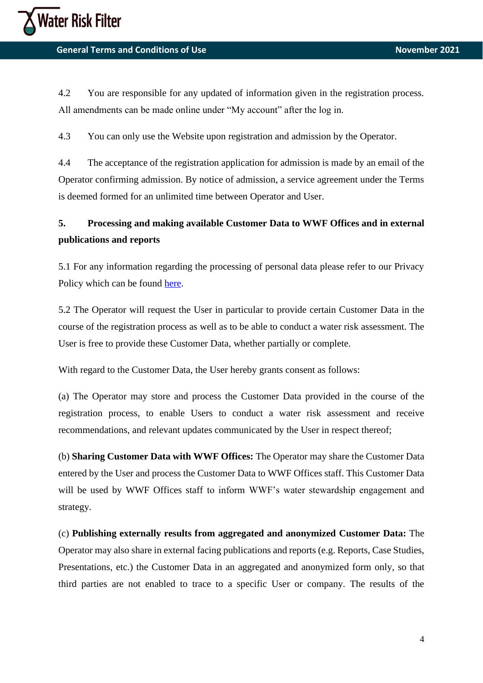4.2 You are responsible for any updated of information given in the registration process. All amendments can be made online under "My account" after the log in.

4.3 You can only use the Website upon registration and admission by the Operator.

4.4 The acceptance of the registration application for admission is made by an email of the Operator confirming admission. By notice of admission, a service agreement under the Terms is deemed formed for an unlimited time between Operator and User.

# **5. Processing and making available Customer Data to WWF Offices and in external publications and reports**

5.1 For any information regarding the processing of personal data please refer to our Privacy Policy which can be found [here.](https://waterriskfilter.org/assets/documents/WRF_Privacy_Policy.pdf)

5.2 The Operator will request the User in particular to provide certain Customer Data in the course of the registration process as well as to be able to conduct a water risk assessment. The User is free to provide these Customer Data, whether partially or complete.

With regard to the Customer Data, the User hereby grants consent as follows:

(a) The Operator may store and process the Customer Data provided in the course of the registration process, to enable Users to conduct a water risk assessment and receive recommendations, and relevant updates communicated by the User in respect thereof;

(b) **Sharing Customer Data with WWF Offices:** The Operator may share the Customer Data entered by the User and process the Customer Data to WWF Offices staff. This Customer Data will be used by WWF Offices staff to inform WWF's water stewardship engagement and strategy.

(c) **Publishing externally results from aggregated and anonymized Customer Data:** The Operator may also share in external facing publications and reports (e.g. Reports, Case Studies, Presentations, etc.) the Customer Data in an aggregated and anonymized form only, so that third parties are not enabled to trace to a specific User or company. The results of the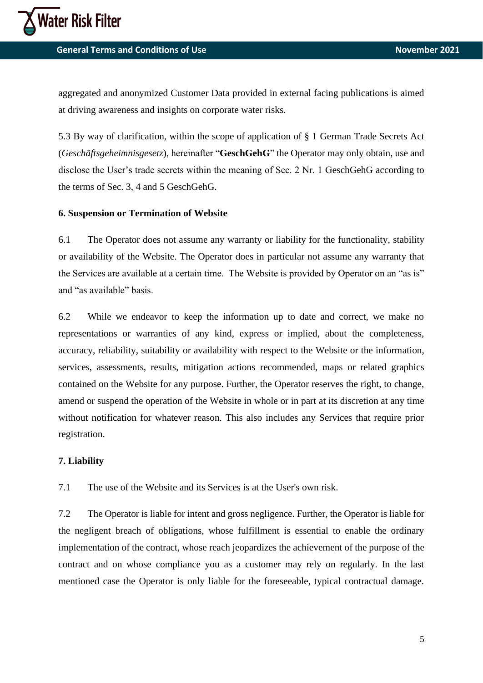aggregated and anonymized Customer Data provided in external facing publications is aimed at driving awareness and insights on corporate water risks.

5.3 By way of clarification, within the scope of application of § 1 German Trade Secrets Act (*Geschäftsgeheimnisgesetz*), hereinafter "**GeschGehG**" the Operator may only obtain, use and disclose the User's trade secrets within the meaning of Sec. 2 Nr. 1 GeschGehG according to the terms of Sec. 3, 4 and 5 GeschGehG.

## **6. Suspension or Termination of Website**

6.1 The Operator does not assume any warranty or liability for the functionality, stability or availability of the Website. The Operator does in particular not assume any warranty that the Services are available at a certain time. The Website is provided by Operator on an "as is" and "as available" basis.

6.2 While we endeavor to keep the information up to date and correct, we make no representations or warranties of any kind, express or implied, about the completeness, accuracy, reliability, suitability or availability with respect to the Website or the information, services, assessments, results, mitigation actions recommended, maps or related graphics contained on the Website for any purpose. Further, the Operator reserves the right, to change, amend or suspend the operation of the Website in whole or in part at its discretion at any time without notification for whatever reason. This also includes any Services that require prior registration.

## **7. Liability**

7.1 The use of the Website and its Services is at the User's own risk.

7.2 The Operator is liable for intent and gross negligence. Further, the Operator is liable for the negligent breach of obligations, whose fulfillment is essential to enable the ordinary implementation of the contract, whose reach jeopardizes the achievement of the purpose of the contract and on whose compliance you as a customer may rely on regularly. In the last mentioned case the Operator is only liable for the foreseeable, typical contractual damage.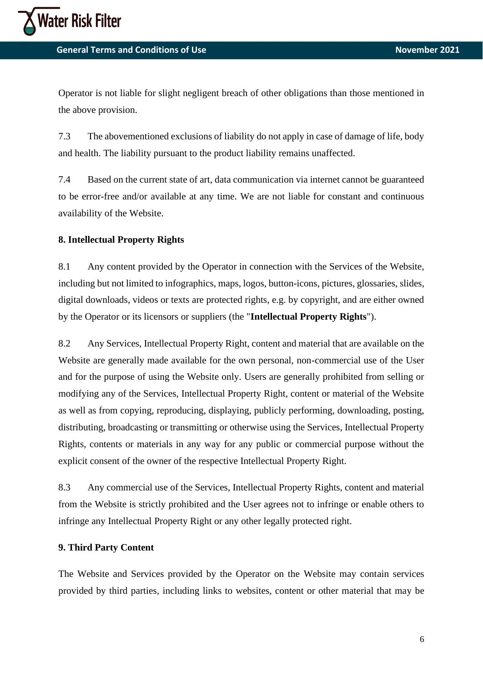

**General Terms and Conditions of Use November 2021 November 2021** 

Operator is not liable for slight negligent breach of other obligations than those mentioned in the above provision.

7.3 The abovementioned exclusions of liability do not apply in case of damage of life, body and health. The liability pursuant to the product liability remains unaffected.

7.4 Based on the current state of art, data communication via internet cannot be guaranteed to be error-free and/or available at any time. We are not liable for constant and continuous availability of the Website.

## **8. Intellectual Property Rights**

8.1 Any content provided by the Operator in connection with the Services of the Website, including but not limited to infographics, maps, logos, button-icons, pictures, glossaries, slides, digital downloads, videos or texts are protected rights, e.g. by copyright, and are either owned by the Operator or its licensors or suppliers (the "**Intellectual Property Rights**").

8.2 Any Services, Intellectual Property Right, content and material that are available on the Website are generally made available for the own personal, non-commercial use of the User and for the purpose of using the Website only. Users are generally prohibited from selling or modifying any of the Services, Intellectual Property Right, content or material of the Website as well as from copying, reproducing, displaying, publicly performing, downloading, posting, distributing, broadcasting or transmitting or otherwise using the Services, Intellectual Property Rights, contents or materials in any way for any public or commercial purpose without the explicit consent of the owner of the respective Intellectual Property Right.

8.3 Any commercial use of the Services, Intellectual Property Rights, content and material from the Website is strictly prohibited and the User agrees not to infringe or enable others to infringe any Intellectual Property Right or any other legally protected right.

## **9. Third Party Content**

The Website and Services provided by the Operator on the Website may contain services provided by third parties, including links to websites, content or other material that may be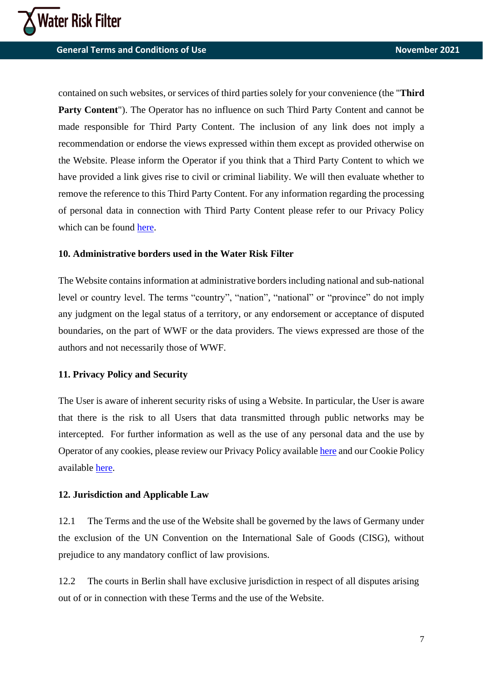**General Terms and Conditions of Use November 2021 November 2021** 

contained on such websites, or services of third parties solely for your convenience (the "**Third Party Content**"). The Operator has no influence on such Third Party Content and cannot be made responsible for Third Party Content. The inclusion of any link does not imply a recommendation or endorse the views expressed within them except as provided otherwise on the Website. Please inform the Operator if you think that a Third Party Content to which we have provided a link gives rise to civil or criminal liability. We will then evaluate whether to remove the reference to this Third Party Content. For any information regarding the processing of personal data in connection with Third Party Content please refer to our Privacy Policy which can be found [here.](https://waterriskfilter.org/assets/documents/WRF_Privacy_Policy.pdf)

## **10. Administrative borders used in the Water Risk Filter**

The Website contains information at administrative borders including national and sub-national level or country level. The terms "country", "nation", "national" or "province" do not imply any judgment on the legal status of a territory, or any endorsement or acceptance of disputed boundaries, on the part of WWF or the data providers. The views expressed are those of the authors and not necessarily those of WWF.

#### **11. Privacy Policy and Security**

The User is aware of inherent security risks of using a Website. In particular, the User is aware that there is the risk to all Users that data transmitted through public networks may be intercepted. For further information as well as the use of any personal data and the use by Operator of any cookies, please review our Privacy Policy available [here](https://waterriskfilter.org/assets/documents/WRF_Privacy_Policy.pdf) and our Cookie Policy available [here.](https://waterriskfilter.org/assets/documents/WRF_Cookie_Policy.pdf)

#### **12. Jurisdiction and Applicable Law**

12.1 The Terms and the use of the Website shall be governed by the laws of Germany under the exclusion of the UN Convention on the International Sale of Goods (CISG), without prejudice to any mandatory conflict of law provisions.

12.2 The courts in Berlin shall have exclusive jurisdiction in respect of all disputes arising out of or in connection with these Terms and the use of the Website.